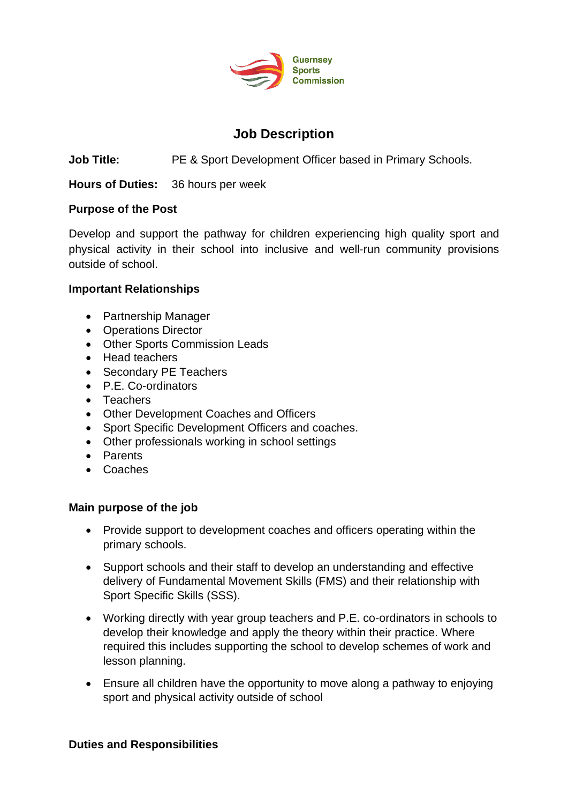

# **Job Description**

**Job Title:** PE & Sport Development Officer based in Primary Schools.

**Hours of Duties:** 36 hours per week

#### **Purpose of the Post**

Develop and support the pathway for children experiencing high quality sport and physical activity in their school into inclusive and well-run community provisions outside of school.

#### **Important Relationships**

- Partnership Manager
- Operations Director
- Other Sports Commission Leads
- Head teachers
- Secondary PE Teachers
- P.E. Co-ordinators
- Teachers
- Other Development Coaches and Officers
- Sport Specific Development Officers and coaches.
- Other professionals working in school settings
- Parents
- Coaches

#### **Main purpose of the job**

- Provide support to development coaches and officers operating within the primary schools.
- Support schools and their staff to develop an understanding and effective delivery of Fundamental Movement Skills (FMS) and their relationship with Sport Specific Skills (SSS).
- Working directly with year group teachers and P.E. co-ordinators in schools to develop their knowledge and apply the theory within their practice. Where required this includes supporting the school to develop schemes of work and lesson planning.
- Ensure all children have the opportunity to move along a pathway to enjoying sport and physical activity outside of school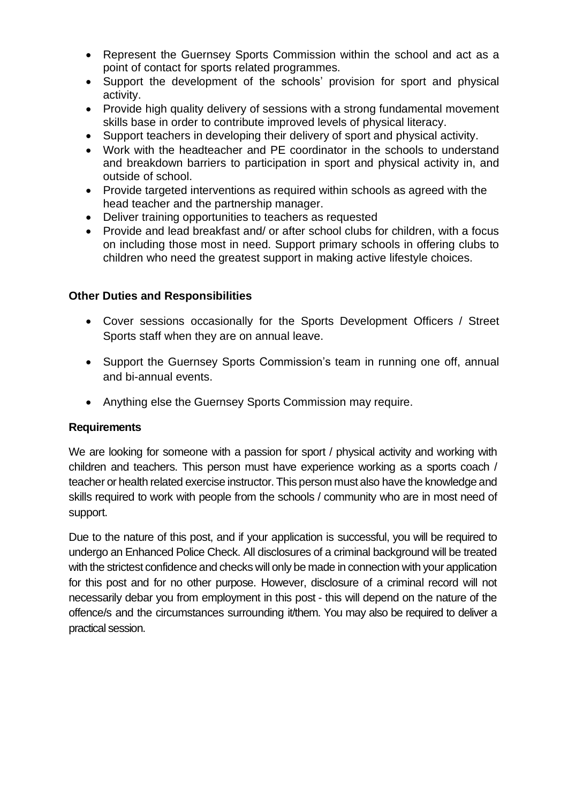- Represent the Guernsey Sports Commission within the school and act as a point of contact for sports related programmes.
- Support the development of the schools' provision for sport and physical activity.
- Provide high quality delivery of sessions with a strong fundamental movement skills base in order to contribute improved levels of physical literacy.
- Support teachers in developing their delivery of sport and physical activity.
- Work with the headteacher and PE coordinator in the schools to understand and breakdown barriers to participation in sport and physical activity in, and outside of school.
- Provide targeted interventions as required within schools as agreed with the head teacher and the partnership manager.
- Deliver training opportunities to teachers as requested
- Provide and lead breakfast and/ or after school clubs for children, with a focus on including those most in need. Support primary schools in offering clubs to children who need the greatest support in making active lifestyle choices.

## **Other Duties and Responsibilities**

- Cover sessions occasionally for the Sports Development Officers / Street Sports staff when they are on annual leave.
- Support the Guernsey Sports Commission's team in running one off, annual and bi-annual events.
- Anything else the Guernsey Sports Commission may require.

## **Requirements**

We are looking for someone with a passion for sport / physical activity and working with children and teachers. This person must have experience working as a sports coach / teacher or health related exercise instructor. This person must also have the knowledge and skills required to work with people from the schools / community who are in most need of support.

Due to the nature of this post, and if your application is successful, you will be required to undergo an Enhanced Police Check. All disclosures of a criminal background will be treated with the strictest confidence and checks will only be made in connection with your application for this post and for no other purpose. However, disclosure of a criminal record will not necessarily debar you from employment in this post - this will depend on the nature of the offence/s and the circumstances surrounding it/them. You may also be required to deliver a practical session.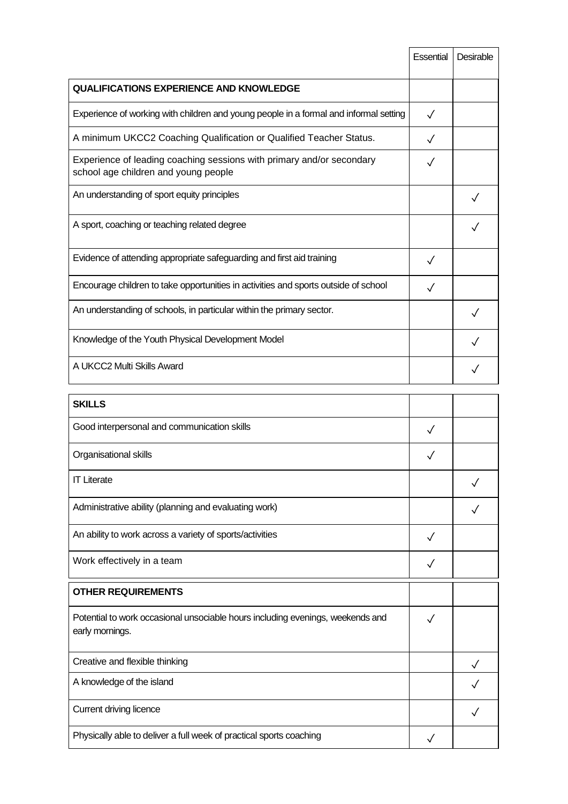| Essential | Desirable |
|-----------|-----------|
|           |           |
|           |           |
|           |           |
|           |           |
|           |           |
|           |           |
|           |           |
|           |           |
|           |           |
|           |           |
|           |           |
|           |           |
|           |           |

| อNILLอ                                                                                            |  |
|---------------------------------------------------------------------------------------------------|--|
| Good interpersonal and communication skills                                                       |  |
| Organisational skills                                                                             |  |
| <b>IT Literate</b>                                                                                |  |
| Administrative ability (planning and evaluating work)                                             |  |
| An ability to work across a variety of sports/activities                                          |  |
| Work effectively in a team                                                                        |  |
|                                                                                                   |  |
| <b>OTHER REQUIREMENTS</b>                                                                         |  |
| Potential to work occasional unsociable hours including evenings, weekends and<br>early mornings. |  |
| Creative and flexible thinking                                                                    |  |
| A knowledge of the island                                                                         |  |
| Current driving licence                                                                           |  |